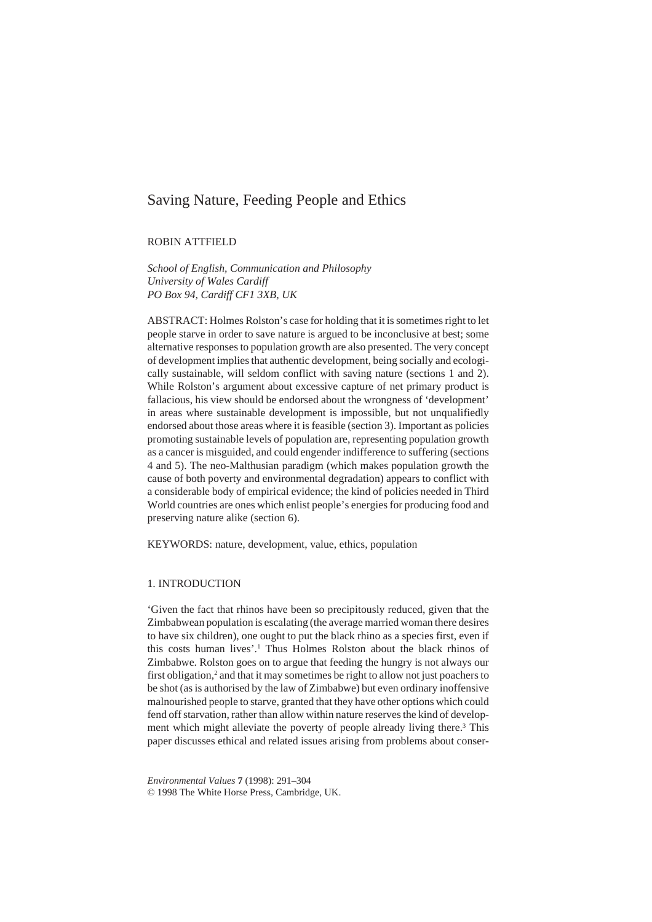# Saving Nature, Feeding People and Ethics

ROBIN ATTFIELD

*School of English, Communication and Philosophy University of Wales Cardiff PO Box 94, Cardiff CF1 3XB, UK*

ABSTRACT: Holmes Rolston's case for holding that it is sometimes right to let people starve in order to save nature is argued to be inconclusive at best; some alternative responses to population growth are also presented. The very concept of development implies that authentic development, being socially and ecologically sustainable, will seldom conflict with saving nature (sections 1 and 2). While Rolston's argument about excessive capture of net primary product is fallacious, his view should be endorsed about the wrongness of 'development' in areas where sustainable development is impossible, but not unqualifiedly endorsed about those areas where it is feasible (section 3). Important as policies promoting sustainable levels of population are, representing population growth as a cancer is misguided, and could engender indifference to suffering (sections 4 and 5). The neo-Malthusian paradigm (which makes population growth the cause of both poverty and environmental degradation) appears to conflict with a considerable body of empirical evidence; the kind of policies needed in Third World countries are ones which enlist people's energies for producing food and preserving nature alike (section 6).

KEYWORDS: nature, development, value, ethics, population

## 1. INTRODUCTION

'Given the fact that rhinos have been so precipitously reduced, given that the Zimbabwean population is escalating (the average married woman there desires to have six children), one ought to put the black rhino as a species first, even if this costs human lives'.<sup>1</sup> Thus Holmes Rolston about the black rhinos of Zimbabwe. Rolston goes on to argue that feeding the hungry is not always our first obligation,<sup>2</sup> and that it may sometimes be right to allow not just poachers to be shot (as is authorised by the law of Zimbabwe) but even ordinary inoffensive malnourished people to starve, granted that they have other options which could fend off starvation, rather than allow within nature reserves the kind of development which might alleviate the poverty of people already living there.<sup>3</sup> This paper discusses ethical and related issues arising from problems about conser-

*Environmental Values* **7** (1998): 291–304 © 1998 The White Horse Press, Cambridge, UK.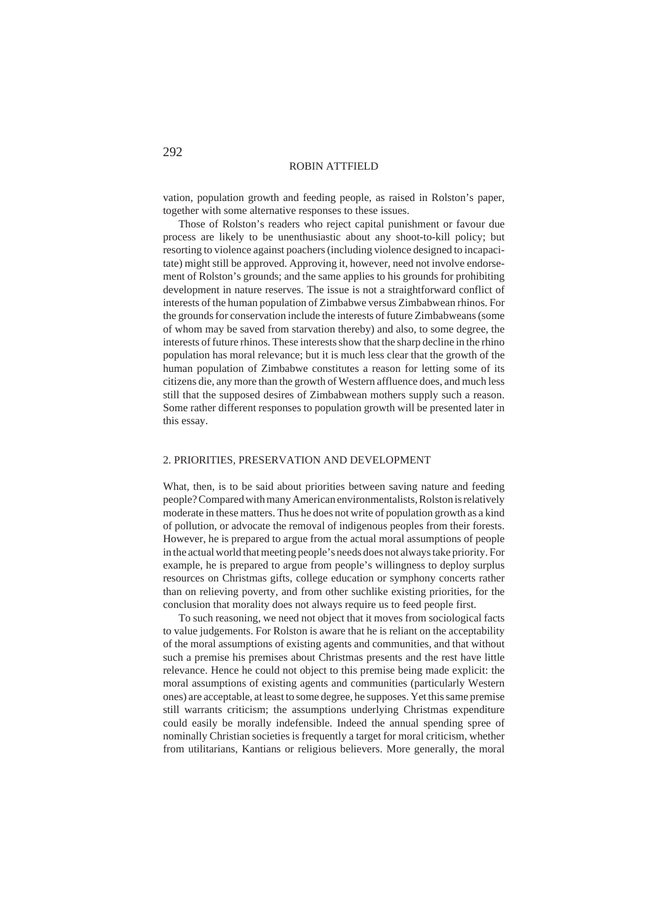vation, population growth and feeding people, as raised in Rolston's paper, together with some alternative responses to these issues.

Those of Rolston's readers who reject capital punishment or favour due process are likely to be unenthusiastic about any shoot-to-kill policy; but resorting to violence against poachers (including violence designed to incapacitate) might still be approved. Approving it, however, need not involve endorsement of Rolston's grounds; and the same applies to his grounds for prohibiting development in nature reserves. The issue is not a straightforward conflict of interests of the human population of Zimbabwe versus Zimbabwean rhinos. For the grounds for conservation include the interests of future Zimbabweans (some of whom may be saved from starvation thereby) and also, to some degree, the interests of future rhinos. These interests show that the sharp decline in the rhino population has moral relevance; but it is much less clear that the growth of the human population of Zimbabwe constitutes a reason for letting some of its citizens die, any more than the growth of Western affluence does, and much less still that the supposed desires of Zimbabwean mothers supply such a reason. Some rather different responses to population growth will be presented later in this essay.

## 2. PRIORITIES, PRESERVATION AND DEVELOPMENT

What, then, is to be said about priorities between saving nature and feeding people? Compared with many American environmentalists, Rolston is relatively moderate in these matters. Thus he does not write of population growth as a kind of pollution, or advocate the removal of indigenous peoples from their forests. However, he is prepared to argue from the actual moral assumptions of people in the actual world that meeting people's needs does not always take priority. For example, he is prepared to argue from people's willingness to deploy surplus resources on Christmas gifts, college education or symphony concerts rather than on relieving poverty, and from other suchlike existing priorities, for the conclusion that morality does not always require us to feed people first.

To such reasoning, we need not object that it moves from sociological facts to value judgements. For Rolston is aware that he is reliant on the acceptability of the moral assumptions of existing agents and communities, and that without such a premise his premises about Christmas presents and the rest have little relevance. Hence he could not object to this premise being made explicit: the moral assumptions of existing agents and communities (particularly Western ones) are acceptable, at least to some degree, he supposes. Yet this same premise still warrants criticism; the assumptions underlying Christmas expenditure could easily be morally indefensible. Indeed the annual spending spree of nominally Christian societies is frequently a target for moral criticism, whether from utilitarians, Kantians or religious believers. More generally, the moral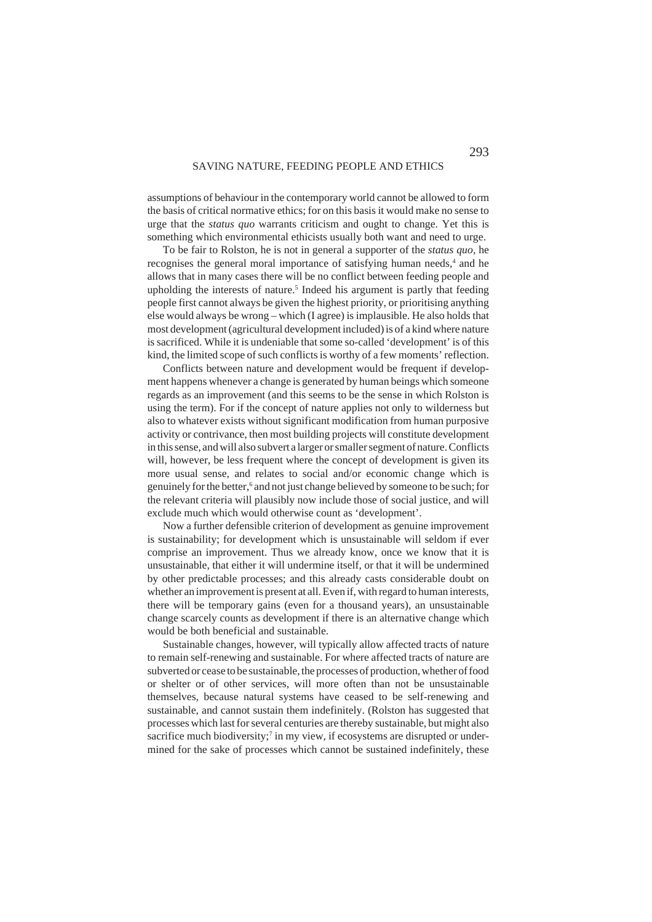assumptions of behaviour in the contemporary world cannot be allowed to form the basis of critical normative ethics; for on this basis it would make no sense to urge that the *status quo* warrants criticism and ought to change. Yet this is something which environmental ethicists usually both want and need to urge.

To be fair to Rolston, he is not in general a supporter of the *status quo,* he recognises the general moral importance of satisfying human needs,<sup>4</sup> and he allows that in many cases there will be no conflict between feeding people and upholding the interests of nature.<sup>5</sup> Indeed his argument is partly that feeding people first cannot always be given the highest priority, or prioritising anything else would always be wrong – which (I agree) is implausible. He also holds that most development (agricultural development included) is of a kind where nature is sacrificed. While it is undeniable that some so-called 'development' is of this kind, the limited scope of such conflicts is worthy of a few moments' reflection.

Conflicts between nature and development would be frequent if development happens whenever a change is generated by human beings which someone regards as an improvement (and this seems to be the sense in which Rolston is using the term). For if the concept of nature applies not only to wilderness but also to whatever exists without significant modification from human purposive activity or contrivance, then most building projects will constitute development in this sense, and will also subvert a larger or smaller segment of nature. Conflicts will, however, be less frequent where the concept of development is given its more usual sense, and relates to social and/or economic change which is genuinely for the better,<sup>6</sup> and not just change believed by someone to be such; for the relevant criteria will plausibly now include those of social justice, and will exclude much which would otherwise count as 'development'.

Now a further defensible criterion of development as genuine improvement is sustainability; for development which is unsustainable will seldom if ever comprise an improvement. Thus we already know, once we know that it is unsustainable, that either it will undermine itself, or that it will be undermined by other predictable processes; and this already casts considerable doubt on whether an improvement is present at all. Even if, with regard to human interests, there will be temporary gains (even for a thousand years), an unsustainable change scarcely counts as development if there is an alternative change which would be both beneficial and sustainable.

Sustainable changes, however, will typically allow affected tracts of nature to remain self-renewing and sustainable. For where affected tracts of nature are subverted or cease to be sustainable, the processes of production, whether of food or shelter or of other services, will more often than not be unsustainable themselves, because natural systems have ceased to be self-renewing and sustainable, and cannot sustain them indefinitely. (Rolston has suggested that processes which last for several centuries are thereby sustainable, but might also sacrifice much biodiversity;<sup>7</sup> in my view, if ecosystems are disrupted or undermined for the sake of processes which cannot be sustained indefinitely, these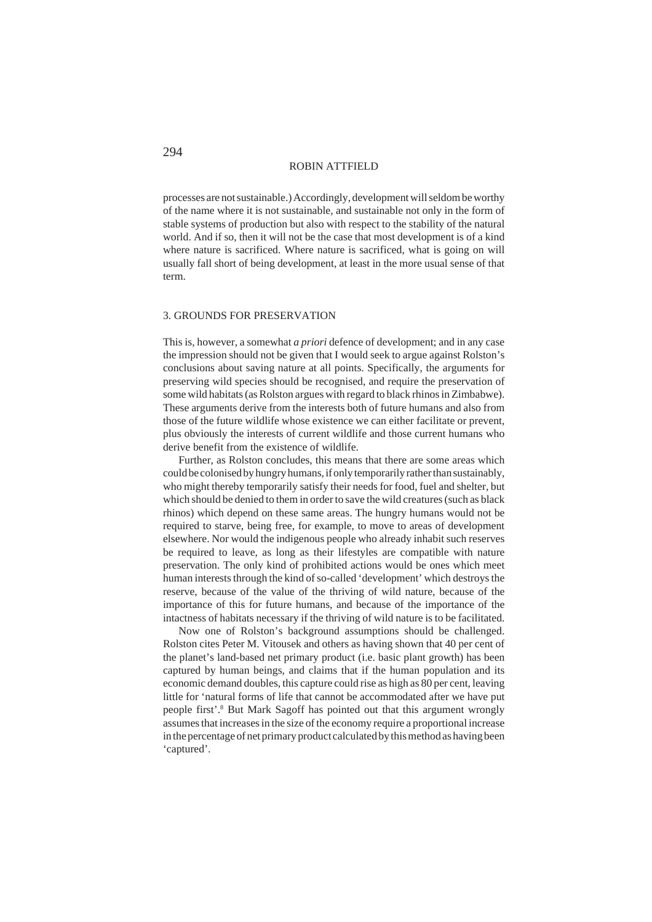processes are not sustainable.) Accordingly, development will seldom be worthy of the name where it is not sustainable, and sustainable not only in the form of stable systems of production but also with respect to the stability of the natural world. And if so, then it will not be the case that most development is of a kind where nature is sacrificed. Where nature is sacrificed, what is going on will usually fall short of being development, at least in the more usual sense of that term.

#### 3. GROUNDS FOR PRESERVATION

This is, however, a somewhat *a priori* defence of development; and in any case the impression should not be given that I would seek to argue against Rolston's conclusions about saving nature at all points. Specifically, the arguments for preserving wild species should be recognised, and require the preservation of some wild habitats (as Rolston argues with regard to black rhinos in Zimbabwe). These arguments derive from the interests both of future humans and also from those of the future wildlife whose existence we can either facilitate or prevent, plus obviously the interests of current wildlife and those current humans who derive benefit from the existence of wildlife.

Further, as Rolston concludes, this means that there are some areas which could be colonised by hungry humans, if only temporarily rather than sustainably, who might thereby temporarily satisfy their needs for food, fuel and shelter, but which should be denied to them in order to save the wild creatures (such as black rhinos) which depend on these same areas. The hungry humans would not be required to starve, being free, for example, to move to areas of development elsewhere. Nor would the indigenous people who already inhabit such reserves be required to leave, as long as their lifestyles are compatible with nature preservation. The only kind of prohibited actions would be ones which meet human interests through the kind of so-called 'development' which destroys the reserve, because of the value of the thriving of wild nature, because of the importance of this for future humans, and because of the importance of the intactness of habitats necessary if the thriving of wild nature is to be facilitated.

Now one of Rolston's background assumptions should be challenged. Rolston cites Peter M. Vitousek and others as having shown that 40 per cent of the planet's land-based net primary product (i.e. basic plant growth) has been captured by human beings, and claims that if the human population and its economic demand doubles, this capture could rise as high as 80 per cent, leaving little for 'natural forms of life that cannot be accommodated after we have put people first'.<sup>8</sup> But Mark Sagoff has pointed out that this argument wrongly assumes that increases in the size of the economy require a proportional increase in the percentage of net primary product calculated by this method as having been 'captured'.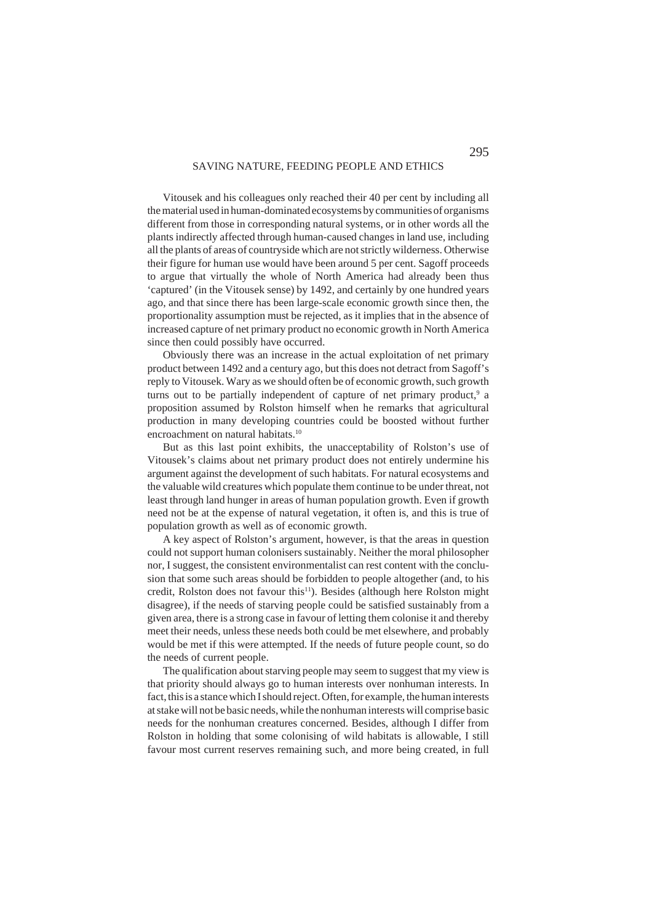Vitousek and his colleagues only reached their 40 per cent by including all the material used in human-dominated ecosystems by communities of organisms different from those in corresponding natural systems, or in other words all the plants indirectly affected through human-caused changes in land use, including all the plants of areas of countryside which are not strictly wilderness. Otherwise their figure for human use would have been around 5 per cent. Sagoff proceeds to argue that virtually the whole of North America had already been thus 'captured' (in the Vitousek sense) by 1492, and certainly by one hundred years ago, and that since there has been large-scale economic growth since then, the proportionality assumption must be rejected, as it implies that in the absence of increased capture of net primary product no economic growth in North America since then could possibly have occurred.

Obviously there was an increase in the actual exploitation of net primary product between 1492 and a century ago, but this does not detract from Sagoff's reply to Vitousek. Wary as we should often be of economic growth, such growth turns out to be partially independent of capture of net primary product,<sup>9</sup> a proposition assumed by Rolston himself when he remarks that agricultural production in many developing countries could be boosted without further encroachment on natural habitats.<sup>10</sup>

But as this last point exhibits, the unacceptability of Rolston's use of Vitousek's claims about net primary product does not entirely undermine his argument against the development of such habitats. For natural ecosystems and the valuable wild creatures which populate them continue to be under threat, not least through land hunger in areas of human population growth. Even if growth need not be at the expense of natural vegetation, it often is, and this is true of population growth as well as of economic growth.

A key aspect of Rolston's argument, however, is that the areas in question could not support human colonisers sustainably. Neither the moral philosopher nor, I suggest, the consistent environmentalist can rest content with the conclusion that some such areas should be forbidden to people altogether (and, to his credit, Rolston does not favour this<sup>11</sup>). Besides (although here Rolston might disagree), if the needs of starving people could be satisfied sustainably from a given area, there is a strong case in favour of letting them colonise it and thereby meet their needs, unless these needs both could be met elsewhere, and probably would be met if this were attempted. If the needs of future people count, so do the needs of current people.

The qualification about starving people may seem to suggest that my view is that priority should always go to human interests over nonhuman interests. In fact, this is a stance which I should reject. Often, for example, the human interests at stake will not be basic needs, while the nonhuman interests will comprise basic needs for the nonhuman creatures concerned. Besides, although I differ from Rolston in holding that some colonising of wild habitats is allowable, I still favour most current reserves remaining such, and more being created, in full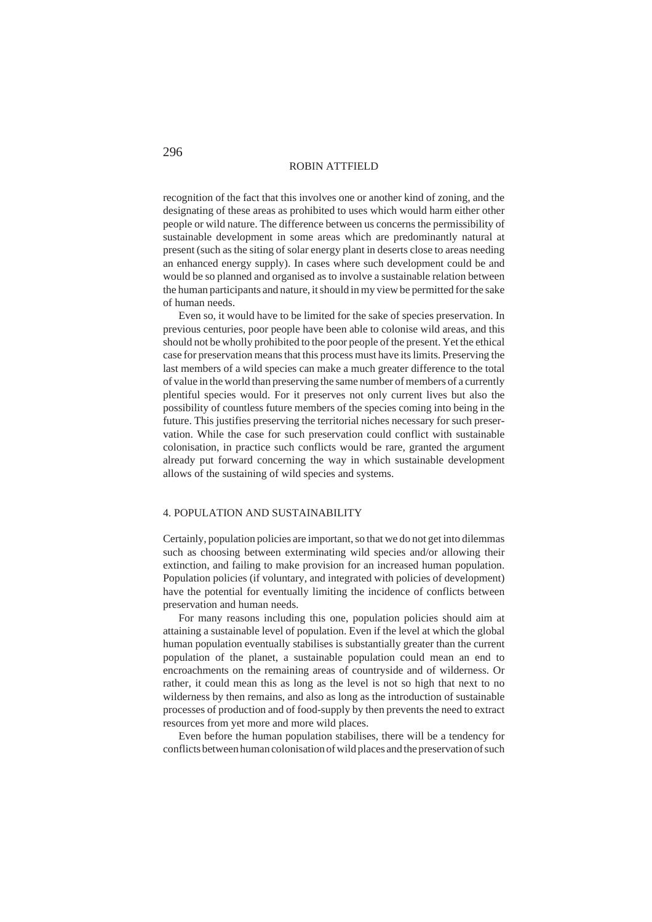recognition of the fact that this involves one or another kind of zoning, and the designating of these areas as prohibited to uses which would harm either other people or wild nature. The difference between us concerns the permissibility of sustainable development in some areas which are predominantly natural at present (such as the siting of solar energy plant in deserts close to areas needing an enhanced energy supply). In cases where such development could be and would be so planned and organised as to involve a sustainable relation between the human participants and nature, it should in my view be permitted for the sake of human needs.

Even so, it would have to be limited for the sake of species preservation. In previous centuries, poor people have been able to colonise wild areas, and this should not be wholly prohibited to the poor people of the present. Yet the ethical case for preservation means that this process must have its limits. Preserving the last members of a wild species can make a much greater difference to the total of value in the world than preserving the same number of members of a currently plentiful species would. For it preserves not only current lives but also the possibility of countless future members of the species coming into being in the future. This justifies preserving the territorial niches necessary for such preservation. While the case for such preservation could conflict with sustainable colonisation, in practice such conflicts would be rare, granted the argument already put forward concerning the way in which sustainable development allows of the sustaining of wild species and systems.

## 4. POPULATION AND SUSTAINABILITY

Certainly, population policies are important, so that we do not get into dilemmas such as choosing between exterminating wild species and/or allowing their extinction, and failing to make provision for an increased human population. Population policies (if voluntary, and integrated with policies of development) have the potential for eventually limiting the incidence of conflicts between preservation and human needs.

For many reasons including this one, population policies should aim at attaining a sustainable level of population. Even if the level at which the global human population eventually stabilises is substantially greater than the current population of the planet, a sustainable population could mean an end to encroachments on the remaining areas of countryside and of wilderness. Or rather, it could mean this as long as the level is not so high that next to no wilderness by then remains, and also as long as the introduction of sustainable processes of production and of food-supply by then prevents the need to extract resources from yet more and more wild places.

Even before the human population stabilises, there will be a tendency for conflicts between human colonisation of wild places and the preservation of such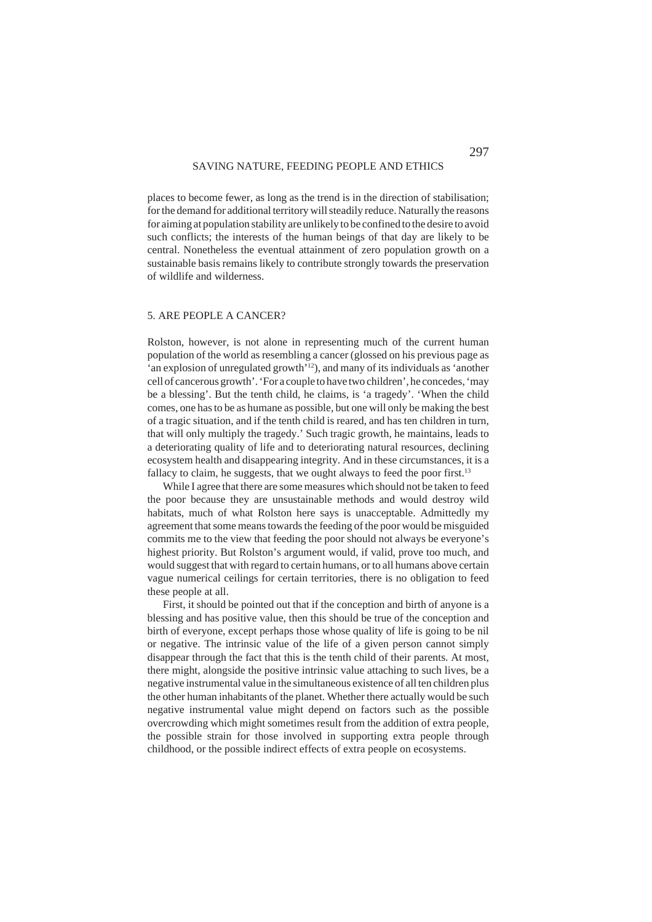places to become fewer, as long as the trend is in the direction of stabilisation; for the demand for additional territory will steadily reduce. Naturally the reasons for aiming at population stability are unlikely to be confined to the desire to avoid such conflicts; the interests of the human beings of that day are likely to be central. Nonetheless the eventual attainment of zero population growth on a sustainable basis remains likely to contribute strongly towards the preservation of wildlife and wilderness.

#### 5. ARE PEOPLE A CANCER?

Rolston, however, is not alone in representing much of the current human population of the world as resembling a cancer (glossed on his previous page as 'an explosion of unregulated growth'<sup>12</sup>), and many of its individuals as 'another cell of cancerous growth'. 'For a couple to have two children', he concedes, 'may be a blessing'. But the tenth child, he claims, is 'a tragedy'. 'When the child comes, one has to be as humane as possible, but one will only be making the best of a tragic situation, and if the tenth child is reared, and has ten children in turn, that will only multiply the tragedy.' Such tragic growth, he maintains, leads to a deteriorating quality of life and to deteriorating natural resources, declining ecosystem health and disappearing integrity. And in these circumstances, it is a fallacy to claim, he suggests, that we ought always to feed the poor first.<sup>13</sup>

While I agree that there are some measures which should not be taken to feed the poor because they are unsustainable methods and would destroy wild habitats, much of what Rolston here says is unacceptable. Admittedly my agreement that some means towards the feeding of the poor would be misguided commits me to the view that feeding the poor should not always be everyone's highest priority. But Rolston's argument would, if valid, prove too much, and would suggest that with regard to certain humans, or to all humans above certain vague numerical ceilings for certain territories, there is no obligation to feed these people at all.

First, it should be pointed out that if the conception and birth of anyone is a blessing and has positive value, then this should be true of the conception and birth of everyone, except perhaps those whose quality of life is going to be nil or negative. The intrinsic value of the life of a given person cannot simply disappear through the fact that this is the tenth child of their parents. At most, there might, alongside the positive intrinsic value attaching to such lives, be a negative instrumental value in the simultaneous existence of all ten children plus the other human inhabitants of the planet. Whether there actually would be such negative instrumental value might depend on factors such as the possible overcrowding which might sometimes result from the addition of extra people, the possible strain for those involved in supporting extra people through childhood, or the possible indirect effects of extra people on ecosystems.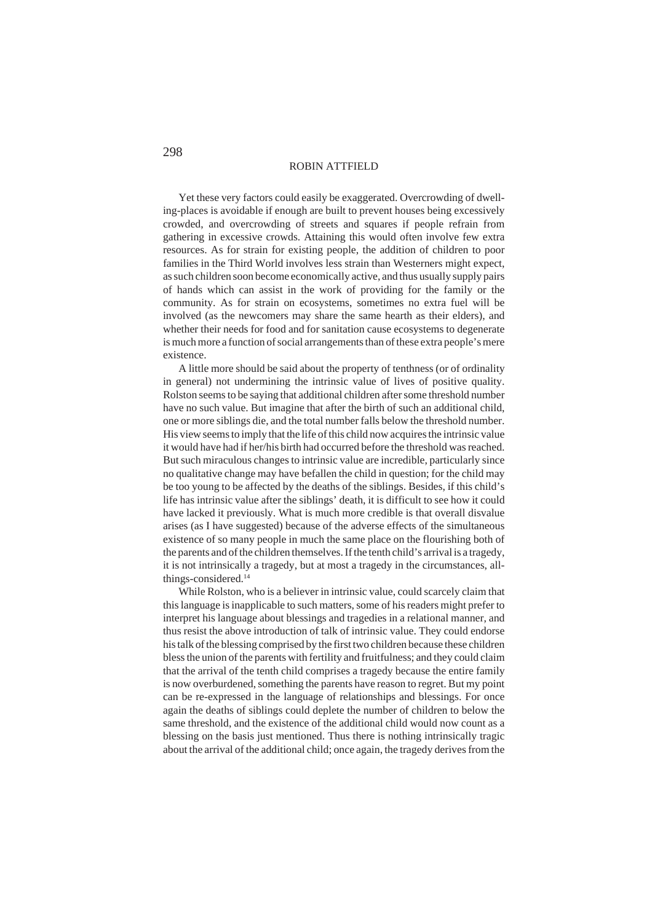Yet these very factors could easily be exaggerated. Overcrowding of dwelling-places is avoidable if enough are built to prevent houses being excessively crowded, and overcrowding of streets and squares if people refrain from gathering in excessive crowds. Attaining this would often involve few extra resources. As for strain for existing people, the addition of children to poor families in the Third World involves less strain than Westerners might expect, as such children soon become economically active, and thus usually supply pairs of hands which can assist in the work of providing for the family or the community. As for strain on ecosystems, sometimes no extra fuel will be involved (as the newcomers may share the same hearth as their elders), and whether their needs for food and for sanitation cause ecosystems to degenerate is much more a function of social arrangements than of these extra people's mere existence.

A little more should be said about the property of tenthness (or of ordinality in general) not undermining the intrinsic value of lives of positive quality. Rolston seems to be saying that additional children after some threshold number have no such value. But imagine that after the birth of such an additional child, one or more siblings die, and the total number falls below the threshold number. His view seems to imply that the life of this child now acquires the intrinsic value it would have had if her/his birth had occurred before the threshold was reached. But such miraculous changes to intrinsic value are incredible, particularly since no qualitative change may have befallen the child in question; for the child may be too young to be affected by the deaths of the siblings. Besides, if this child's life has intrinsic value after the siblings' death, it is difficult to see how it could have lacked it previously. What is much more credible is that overall disvalue arises (as I have suggested) because of the adverse effects of the simultaneous existence of so many people in much the same place on the flourishing both of the parents and of the children themselves. If the tenth child's arrival is a tragedy, it is not intrinsically a tragedy, but at most a tragedy in the circumstances, allthings-considered.14

While Rolston, who is a believer in intrinsic value, could scarcely claim that this language is inapplicable to such matters, some of his readers might prefer to interpret his language about blessings and tragedies in a relational manner, and thus resist the above introduction of talk of intrinsic value. They could endorse his talk of the blessing comprised by the first two children because these children bless the union of the parents with fertility and fruitfulness; and they could claim that the arrival of the tenth child comprises a tragedy because the entire family is now overburdened, something the parents have reason to regret. But my point can be re-expressed in the language of relationships and blessings. For once again the deaths of siblings could deplete the number of children to below the same threshold, and the existence of the additional child would now count as a blessing on the basis just mentioned. Thus there is nothing intrinsically tragic about the arrival of the additional child; once again, the tragedy derives from the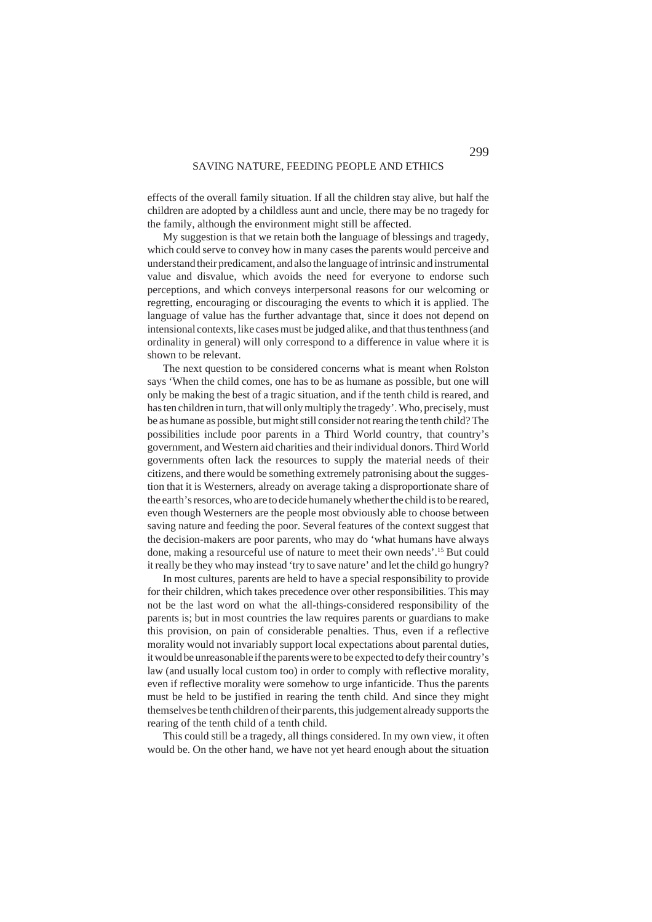effects of the overall family situation. If all the children stay alive, but half the children are adopted by a childless aunt and uncle, there may be no tragedy for the family, although the environment might still be affected.

My suggestion is that we retain both the language of blessings and tragedy, which could serve to convey how in many cases the parents would perceive and understand their predicament, and also the language of intrinsic and instrumental value and disvalue, which avoids the need for everyone to endorse such perceptions, and which conveys interpersonal reasons for our welcoming or regretting, encouraging or discouraging the events to which it is applied. The language of value has the further advantage that, since it does not depend on intensional contexts, like cases must be judged alike, and that thus tenthness (and ordinality in general) will only correspond to a difference in value where it is shown to be relevant.

The next question to be considered concerns what is meant when Rolston says 'When the child comes, one has to be as humane as possible, but one will only be making the best of a tragic situation, and if the tenth child is reared, and has ten children in turn, that will only multiply the tragedy'. Who, precisely, must be as humane as possible, but might still consider not rearing the tenth child? The possibilities include poor parents in a Third World country, that country's government, and Western aid charities and their individual donors. Third World governments often lack the resources to supply the material needs of their citizens, and there would be something extremely patronising about the suggestion that it is Westerners, already on average taking a disproportionate share of the earth's resorces, who are to decide humanely whether the child is to be reared, even though Westerners are the people most obviously able to choose between saving nature and feeding the poor. Several features of the context suggest that the decision-makers are poor parents, who may do 'what humans have always done, making a resourceful use of nature to meet their own needs'.15 But could it really be they who may instead 'try to save nature' and let the child go hungry?

In most cultures, parents are held to have a special responsibility to provide for their children, which takes precedence over other responsibilities. This may not be the last word on what the all-things-considered responsibility of the parents is; but in most countries the law requires parents or guardians to make this provision, on pain of considerable penalties. Thus, even if a reflective morality would not invariably support local expectations about parental duties, it would be unreasonable if the parents were to be expected to defy their country's law (and usually local custom too) in order to comply with reflective morality, even if reflective morality were somehow to urge infanticide. Thus the parents must be held to be justified in rearing the tenth child. And since they might themselves be tenth children of their parents, this judgement already supports the rearing of the tenth child of a tenth child.

This could still be a tragedy, all things considered. In my own view, it often would be. On the other hand, we have not yet heard enough about the situation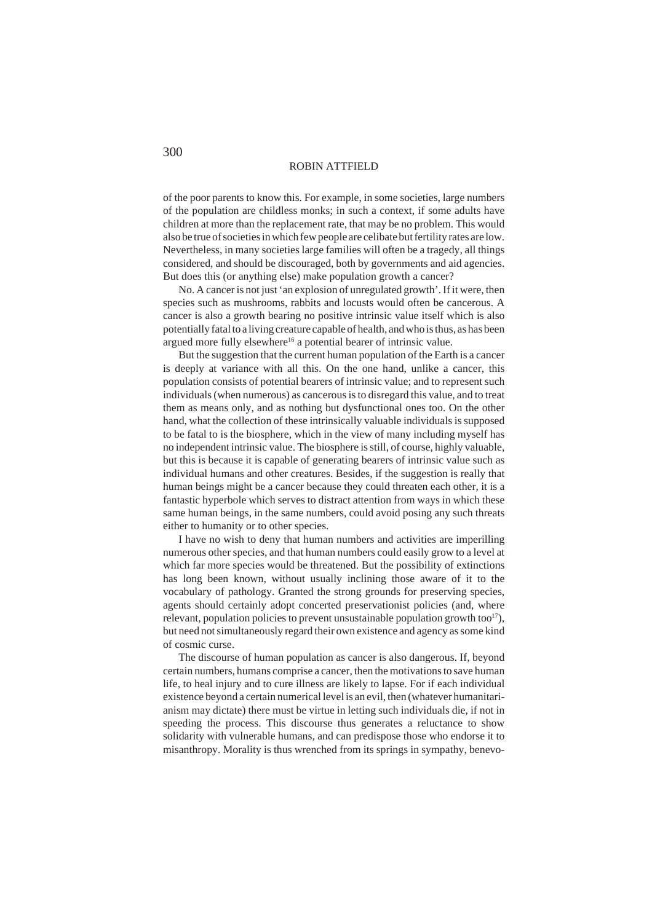of the poor parents to know this. For example, in some societies, large numbers of the population are childless monks; in such a context, if some adults have children at more than the replacement rate, that may be no problem. This would also be true of societies in which few people are celibate but fertility rates are low. Nevertheless, in many societies large families will often be a tragedy, all things considered, and should be discouraged, both by governments and aid agencies. But does this (or anything else) make population growth a cancer?

No. A cancer is not just 'an explosion of unregulated growth'. If it were, then species such as mushrooms, rabbits and locusts would often be cancerous. A cancer is also a growth bearing no positive intrinsic value itself which is also potentially fatal to a living creature capable of health, and who is thus, as has been argued more fully elsewhere<sup>16</sup> a potential bearer of intrinsic value.

But the suggestion that the current human population of the Earth is a cancer is deeply at variance with all this. On the one hand, unlike a cancer, this population consists of potential bearers of intrinsic value; and to represent such individuals (when numerous) as cancerous is to disregard this value, and to treat them as means only, and as nothing but dysfunctional ones too. On the other hand, what the collection of these intrinsically valuable individuals is supposed to be fatal to is the biosphere, which in the view of many including myself has no independent intrinsic value. The biosphere is still, of course, highly valuable, but this is because it is capable of generating bearers of intrinsic value such as individual humans and other creatures. Besides, if the suggestion is really that human beings might be a cancer because they could threaten each other, it is a fantastic hyperbole which serves to distract attention from ways in which these same human beings, in the same numbers, could avoid posing any such threats either to humanity or to other species.

I have no wish to deny that human numbers and activities are imperilling numerous other species, and that human numbers could easily grow to a level at which far more species would be threatened. But the possibility of extinctions has long been known, without usually inclining those aware of it to the vocabulary of pathology. Granted the strong grounds for preserving species, agents should certainly adopt concerted preservationist policies (and, where relevant, population policies to prevent unsustainable population growth too<sup>17</sup>). but need not simultaneously regard their own existence and agency as some kind of cosmic curse.

The discourse of human population as cancer is also dangerous. If, beyond certain numbers, humans comprise a cancer, then the motivations to save human life, to heal injury and to cure illness are likely to lapse. For if each individual existence beyond a certain numerical level is an evil, then (whatever humanitarianism may dictate) there must be virtue in letting such individuals die, if not in speeding the process. This discourse thus generates a reluctance to show solidarity with vulnerable humans, and can predispose those who endorse it to misanthropy. Morality is thus wrenched from its springs in sympathy, benevo-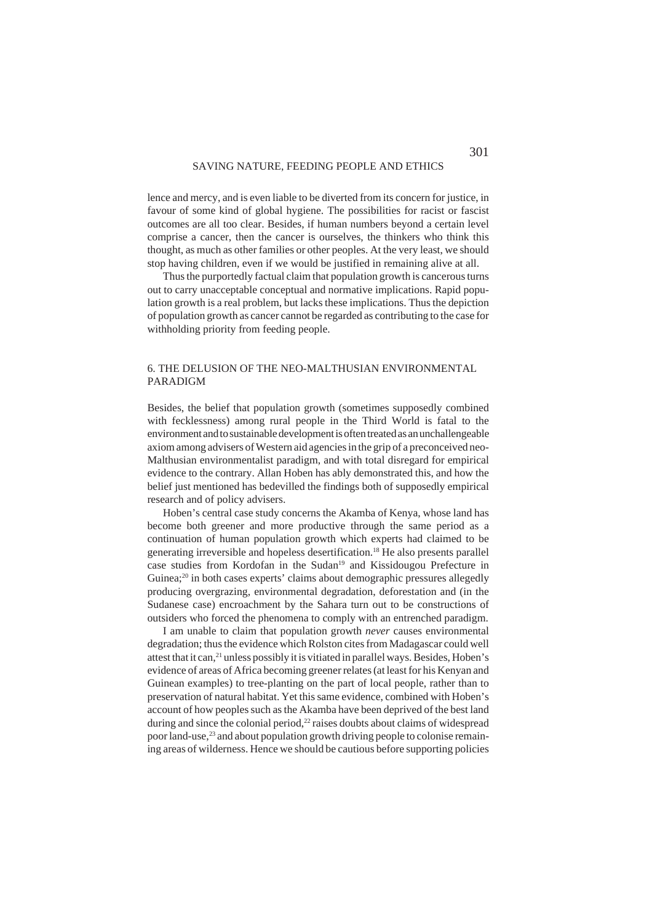lence and mercy, and is even liable to be diverted from its concern for justice, in favour of some kind of global hygiene. The possibilities for racist or fascist outcomes are all too clear. Besides, if human numbers beyond a certain level comprise a cancer, then the cancer is ourselves, the thinkers who think this thought, as much as other families or other peoples. At the very least, we should stop having children, even if we would be justified in remaining alive at all.

Thus the purportedly factual claim that population growth is cancerous turns out to carry unacceptable conceptual and normative implications. Rapid population growth is a real problem, but lacks these implications. Thus the depiction of population growth as cancer cannot be regarded as contributing to the case for withholding priority from feeding people.

# 6. THE DELUSION OF THE NEO-MALTHUSIAN ENVIRONMENTAL PARADIGM

Besides, the belief that population growth (sometimes supposedly combined with fecklessness) among rural people in the Third World is fatal to the environment and to sustainable development is often treated as an unchallengeable axiom among advisers of Western aid agencies in the grip of a preconceived neo-Malthusian environmentalist paradigm, and with total disregard for empirical evidence to the contrary. Allan Hoben has ably demonstrated this, and how the belief just mentioned has bedevilled the findings both of supposedly empirical research and of policy advisers.

Hoben's central case study concerns the Akamba of Kenya, whose land has become both greener and more productive through the same period as a continuation of human population growth which experts had claimed to be generating irreversible and hopeless desertification.18 He also presents parallel case studies from Kordofan in the Sudan19 and Kissidougou Prefecture in Guinea;<sup>20</sup> in both cases experts' claims about demographic pressures allegedly producing overgrazing, environmental degradation, deforestation and (in the Sudanese case) encroachment by the Sahara turn out to be constructions of outsiders who forced the phenomena to comply with an entrenched paradigm.

I am unable to claim that population growth *never* causes environmental degradation; thus the evidence which Rolston cites from Madagascar could well attest that it can,<sup>21</sup> unless possibly it is vitiated in parallel ways. Besides, Hoben's evidence of areas of Africa becoming greener relates (at least for his Kenyan and Guinean examples) to tree-planting on the part of local people, rather than to preservation of natural habitat. Yet this same evidence, combined with Hoben's account of how peoples such as the Akamba have been deprived of the best land during and since the colonial period, $22$  raises doubts about claims of widespread poor land-use,<sup>23</sup> and about population growth driving people to colonise remaining areas of wilderness. Hence we should be cautious before supporting policies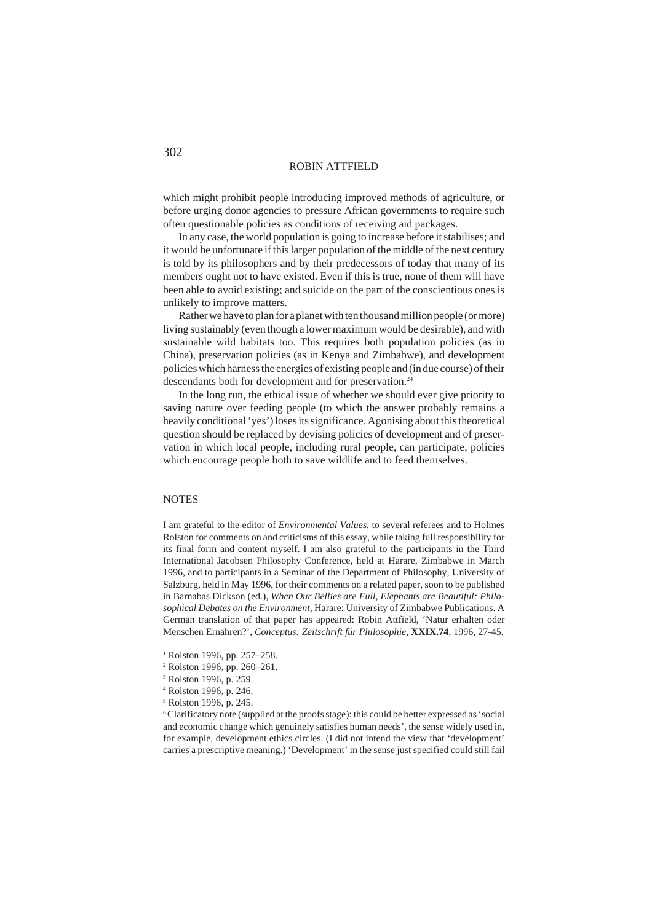which might prohibit people introducing improved methods of agriculture, or before urging donor agencies to pressure African governments to require such often questionable policies as conditions of receiving aid packages.

In any case, the world population is going to increase before it stabilises; and it would be unfortunate if this larger population of the middle of the next century is told by its philosophers and by their predecessors of today that many of its members ought not to have existed. Even if this is true, none of them will have been able to avoid existing; and suicide on the part of the conscientious ones is unlikely to improve matters.

Rather we have to plan for a planet with ten thousand million people (or more) living sustainably (even though a lower maximum would be desirable), and with sustainable wild habitats too. This requires both population policies (as in China), preservation policies (as in Kenya and Zimbabwe), and development policies which harness the energies of existing people and (in due course) of their descendants both for development and for preservation.<sup>24</sup>

In the long run, the ethical issue of whether we should ever give priority to saving nature over feeding people (to which the answer probably remains a heavily conditional 'yes') loses its significance. Agonising about this theoretical question should be replaced by devising policies of development and of preservation in which local people, including rural people, can participate, policies which encourage people both to save wildlife and to feed themselves.

## **NOTES**

I am grateful to the editor of *Environmental Values,* to several referees and to Holmes Rolston for comments on and criticisms of this essay, while taking full responsibility for its final form and content myself. I am also grateful to the participants in the Third International Jacobsen Philosophy Conference, held at Harare, Zimbabwe in March 1996, and to participants in a Seminar of the Department of Philosophy, University of Salzburg, held in May 1996, for their comments on a related paper, soon to be published in Barnabas Dickson (ed.), *When Our Bellies are Full, Elephants are Beautiful: Philosophical Debates on the Environment,* Harare: University of Zimbabwe Publications. A German translation of that paper has appeared: Robin Attfield, 'Natur erhalten oder Menschen Ernähren?', *Conceptus: Zeitschrift für Philosophie,* **XXIX.74**, 1996, 27-45.

- 1 Rolston 1996, pp. 257–258.
- 2 Rolston 1996, pp. 260–261.
- 3 Rolston 1996, p. 259.
- 4 Rolston 1996, p. 246.
- 5 Rolston 1996, p. 245.

<sup>6</sup> Clarificatory note (supplied at the proofs stage): this could be better expressed as 'social and economic change which genuinely satisfies human needs', the sense widely used in, for example, development ethics circles. (I did not intend the view that 'development' carries a prescriptive meaning.) 'Development' in the sense just specified could still fail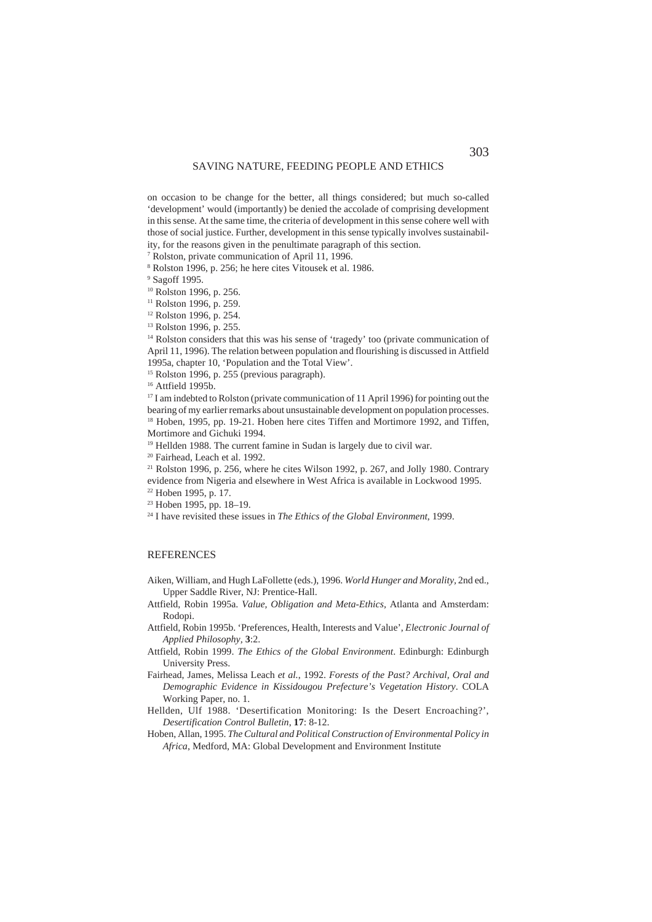on occasion to be change for the better, all things considered; but much so-called 'development' would (importantly) be denied the accolade of comprising development in this sense. At the same time, the criteria of development in this sense cohere well with those of social justice. Further, development in this sense typically involves sustainability, for the reasons given in the penultimate paragraph of this section.

7 Rolston, private communication of April 11, 1996.

8 Rolston 1996, p. 256; he here cites Vitousek et al. 1986.

9 Sagoff 1995.

<sup>10</sup> Rolston 1996, p. 256.

<sup>11</sup> Rolston 1996, p. 259.

12 Rolston 1996, p. 254.

13 Rolston 1996, p. 255.

<sup>14</sup> Rolston considers that this was his sense of 'tragedy' too (private communication of April 11, 1996). The relation between population and flourishing is discussed in Attfield 1995a, chapter 10, 'Population and the Total View'.

15 Rolston 1996, p. 255 (previous paragraph).

<sup>16</sup> Attfield 1995b.

<sup>17</sup> I am indebted to Rolston (private communication of 11 April 1996) for pointing out the bearing of my earlier remarks about unsustainable development on population processes. <sup>18</sup> Hoben, 1995, pp. 19-21. Hoben here cites Tiffen and Mortimore 1992, and Tiffen, Mortimore and Gichuki 1994.

<sup>19</sup> Hellden 1988. The current famine in Sudan is largely due to civil war.

20 Fairhead, Leach et al. 1992.

21 Rolston 1996, p. 256, where he cites Wilson 1992, p. 267, and Jolly 1980. Contrary evidence from Nigeria and elsewhere in West Africa is available in Lockwood 1995.

- 22 Hoben 1995, p. 17.
- 23 Hoben 1995, pp. 18–19.

24 I have revisited these issues in *The Ethics of the Global Environment*, 1999.

#### **REFERENCES**

- Aiken, William, and Hugh LaFollette (eds.), 1996. *World Hunger and Morality,* 2nd ed., Upper Saddle River, NJ: Prentice-Hall.
- Attfield, Robin 1995a. *Value, Obligation and Meta-Ethics,* Atlanta and Amsterdam: Rodopi.
- Attfield, Robin 1995b. 'Preferences, Health, Interests and Value', *Electronic Journal of Applied Philosophy,* **3**:2.
- Attfield, Robin 1999. *The Ethics of the Global Environment*. Edinburgh: Edinburgh University Press.
- Fairhead, James, Melissa Leach *et al.*, 1992. *Forests of the Past? Archival, Oral and Demographic Evidence in Kissidougou Prefecture's Vegetation History*. COLA Working Paper, no. 1.
- Hellden, Ulf 1988. 'Desertification Monitoring: Is the Desert Encroaching?', *Desertification Control Bulletin*, **17**: 8-12.
- Hoben, Allan, 1995. *The Cultural and Political Construction of Environmental Policy in Africa*, Medford, MA: Global Development and Environment Institute